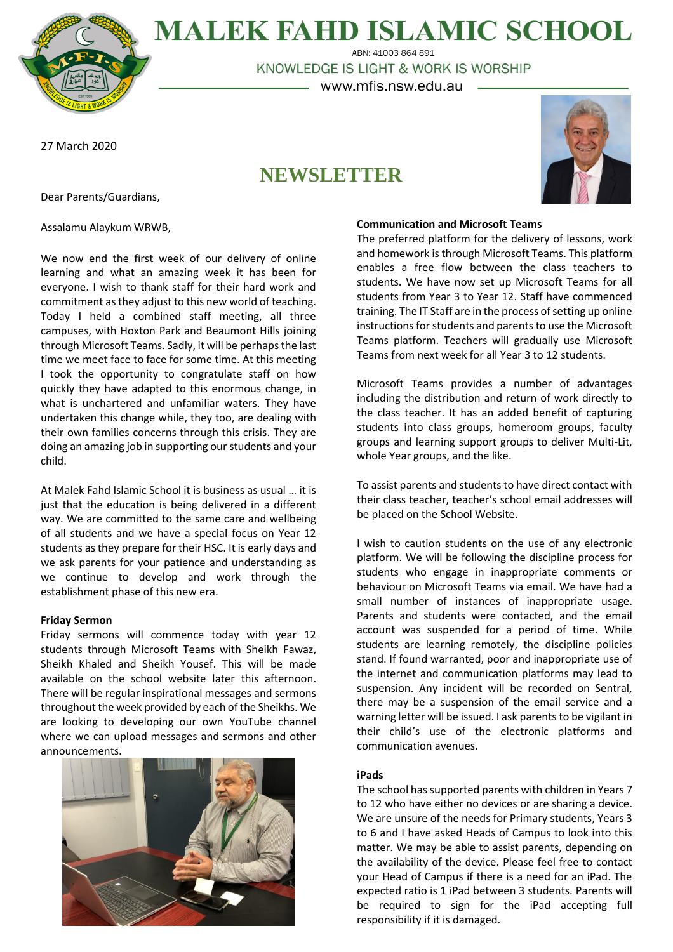**MALEK FAHD ISLAMIC SCHOOL** ABN: 41003 864 891

KNOWLEDGE IS LIGHT & WORK IS WORSHIP

– www.mfis.nsw.edu.au –

27 March 2020

# **NEWSLETTER**



Dear Parents/Guardians,

Assalamu Alaykum WRWB,

We now end the first week of our delivery of online learning and what an amazing week it has been for everyone. I wish to thank staff for their hard work and commitment as they adjust to this new world of teaching. Today I held a combined staff meeting, all three campuses, with Hoxton Park and Beaumont Hills joining through Microsoft Teams. Sadly, it will be perhaps the last time we meet face to face for some time. At this meeting I took the opportunity to congratulate staff on how quickly they have adapted to this enormous change, in what is unchartered and unfamiliar waters. They have undertaken this change while, they too, are dealing with their own families concerns through this crisis. They are doing an amazing job in supporting our students and your child.

At Malek Fahd Islamic School it is business as usual … it is just that the education is being delivered in a different way. We are committed to the same care and wellbeing of all students and we have a special focus on Year 12 students as they prepare for their HSC. It is early days and we ask parents for your patience and understanding as we continue to develop and work through the establishment phase of this new era.

# **Friday Sermon**

Friday sermons will commence today with year 12 students through Microsoft Teams with Sheikh Fawaz, Sheikh Khaled and Sheikh Yousef. This will be made available on the school website later this afternoon. There will be regular inspirational messages and sermons throughout the week provided by each of the Sheikhs. We are looking to developing our own YouTube channel where we can upload messages and sermons and other announcements.



#### **Communication and Microsoft Teams**

The preferred platform for the delivery of lessons, work and homework is through Microsoft Teams. This platform enables a free flow between the class teachers to students. We have now set up Microsoft Teams for all students from Year 3 to Year 12. Staff have commenced training. The IT Staff are in the process of setting up online instructions for students and parents to use the Microsoft Teams platform. Teachers will gradually use Microsoft Teams from next week for all Year 3 to 12 students.

Microsoft Teams provides a number of advantages including the distribution and return of work directly to the class teacher. It has an added benefit of capturing students into class groups, homeroom groups, faculty groups and learning support groups to deliver Multi-Lit, whole Year groups, and the like.

To assist parents and students to have direct contact with their class teacher, teacher's school email addresses will be placed on the School Website.

I wish to caution students on the use of any electronic platform. We will be following the discipline process for students who engage in inappropriate comments or behaviour on Microsoft Teams via email. We have had a small number of instances of inappropriate usage. Parents and students were contacted, and the email account was suspended for a period of time. While students are learning remotely, the discipline policies stand. If found warranted, poor and inappropriate use of the internet and communication platforms may lead to suspension. Any incident will be recorded on Sentral, there may be a suspension of the email service and a warning letter will be issued. I ask parents to be vigilant in their child's use of the electronic platforms and communication avenues.

# **iPads**

The school has supported parents with children in Years 7 to 12 who have either no devices or are sharing a device. We are unsure of the needs for Primary students, Years 3 to 6 and I have asked Heads of Campus to look into this matter. We may be able to assist parents, depending on the availability of the device. Please feel free to contact your Head of Campus if there is a need for an iPad. The expected ratio is 1 iPad between 3 students. Parents will be required to sign for the iPad accepting full responsibility if it is damaged.